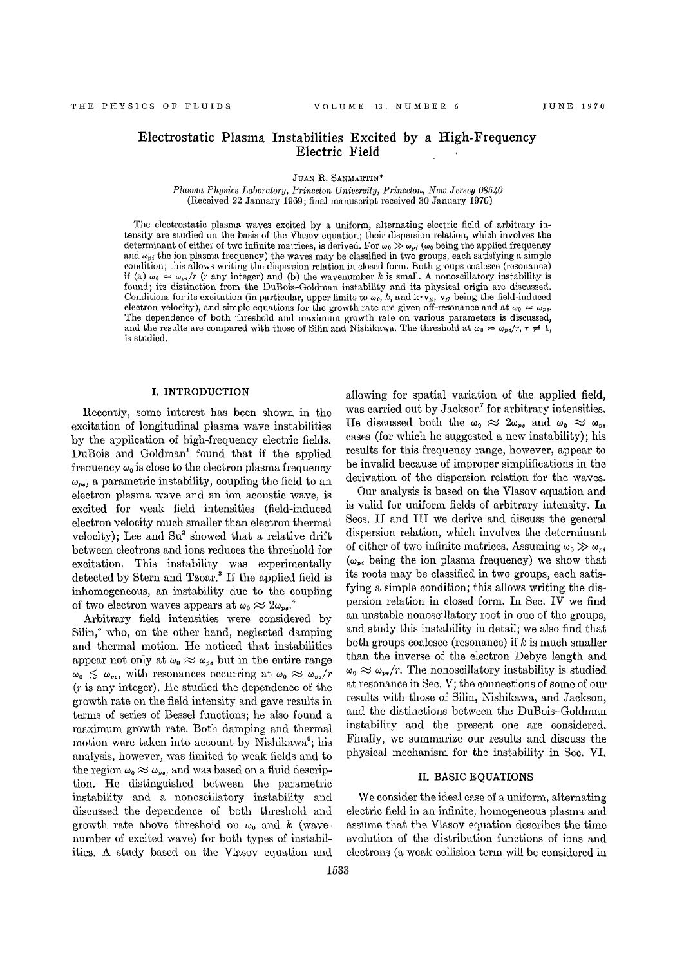# Electrostatic Plasma Instabilities Excited by a High-Frequency Electric Field

JUAN R. SANMARTIN\*

*Plasma Physics Laboratory, Princeton University, Princeton, New Jersey 08540*  (Received 22 January 1969; final manuscript received 30 January 1970)

The electrostatic plasma waves excited by a uniform, alternating electric field of arbitrary intensity are studied on the basis of the Vlasov equation; their dispersion relation, which involves the determinant of either of two infinite matrices, is derived. For  $\omega_0 \gg \omega_{pi}$ ; ( $\omega_0$  being the applied frequency and  $\omega_{pi}$  the ion plasma frequency) the waves may be classified in two groups, each satisfying a simple condition; this allows writing the dispersion relation in closed form. Both groups coalesce (resonance) if (a)  $\omega_0 = \omega_{pe}/r$  (r any integer) and (b) the wavenumber k is small. A nonoscillatory instability is found; its distinction from the DuBois-Goldman instability and its physical origin are discussed. Conditions for its excitation (in particular, upper limits to  $\omega_0$ , k, and  $\mathbf{k} \cdot \mathbf{v}_E$ ,  $\mathbf{v}_E$  being the field-induced electron velocity), and simple equations for the growth rate are given off-resonance and at  $\omega_0 = \omega_{pe}$ . The dependence of both threshold and maximum growth rate on various parameters is discussed, and the results are compared with those of Silin and Nishikawa. The threshold at  $\omega_0 \approx \omega_{pe}/r$ ,  $r \neq 1$ , is studied.

### **I. INTRODUCTION**

Recently, some interest has been shown in the excitation of longitudinal plasma wave instabilities by the application of high-frequency electric fields. DuBois and Goldman<sup>1</sup> found that if the applied frequency  $\omega_0$  is close to the electron plasma frequency  $\omega_{\text{res}}$ , a parametric instability, coupling the field to an electron plasma wave and an ion acoustic wave, is excited for weak field intensities (field-induced electron velocity much smaller than electron thermal velocity); Lee and  $S_{u}^{2}$  showed that a relative drift between electrons and ions reduces the threshold for excitation. This instability was experimentally detected by Stern and  $Tz$ oar.<sup>3</sup> If the applied field is inhomogeneous, an instability due to the coupling of two electron waves appears at  $\omega_0 \approx 2\omega_{\nu e}$ <sup>4</sup>

Arbitrary field intensities were considered by  $\mathrm{Silin},^5$  who, on the other hand, neglected damping and thermal motion. He noticed that instabilities appear not only at  $\omega_0 \approx \omega_{\nu}$  but in the entire range  $\omega_0 \lesssim \omega_{\text{pe}}$ , with resonances occurring at  $\omega_0 \approx \omega_{\text{pe}}/r$ (r is any integer). He studied the dependence of the growth rate on the field intensity and gave results in terms of series of Bessel functions; he also found a maximum growth rate. Both damping and thermal motion were taken into account by Nishikawa<sup>6</sup>; his analysis, however, was limited to weak fields and to the region  $\omega_0 \approx \omega_{\nu}$ , and was based on a fluid description. He distinguished between the parametric instability and a nonoscillatory instability and discussed the dependence of both threshold and growth rate above threshold on  $\omega_0$  and k (wavenumber of excited wave) for both types of instabilities. A study based on the Vlasov equation and

allowing for spatial variation of the applied field, was carried out by Jackson<sup>7</sup> for arbitrary intensities. He discussed both the  $\omega_0 \approx 2\omega_{ps}$  and  $\omega_0 \approx \omega_{ps}$ cases (for which he suggested a new instability); his results for this frequency range, however, appear to be invalid because of improper simplifications in the derivation of the dispersion relation for the waves.

Our analysis is based on the Vlasov equation and is valid for uniform fields of arbitrary intensity. In Secs. II and III we derive and discuss the general dispersion relation, which involves the determinant of either of two infinite matrices. Assuming  $\omega_0 \gg \omega_{pi}$  $(\omega_{pi}$  being the ion plasma frequency) we show that its roots may be classified in two groups, each satisfying a simple condition; this allows writing the dispersion relation in closed form. In Sec. IV we find an unstable nonoscillatory root in one of the groups, and study this instability in detail; we also find that both groups coalesce (resonance) if *k* is much smaller than the inverse of the electron Debye length and  $\omega_0 \approx \omega_{\nu}$ , The nonoscillatory instability is studied at resonance in Sec. V; the connections of some of our results with those of Silin, Nishikawa, and Jackson, and the distinctions between the DuBois-Goldman instability and the present one are considered. Finally, we summarize our results and discuss the physical mechanism for the instability in Sec. VI.

### II. BASIC EQUATIONS

We consider the ideal case of a uniform, alternating electric field in an infinite, homogeneous plasma and assume that the Vlasov equation describes the time evolution of the distribution functions of ions and electrons (a weak collision term will be considered in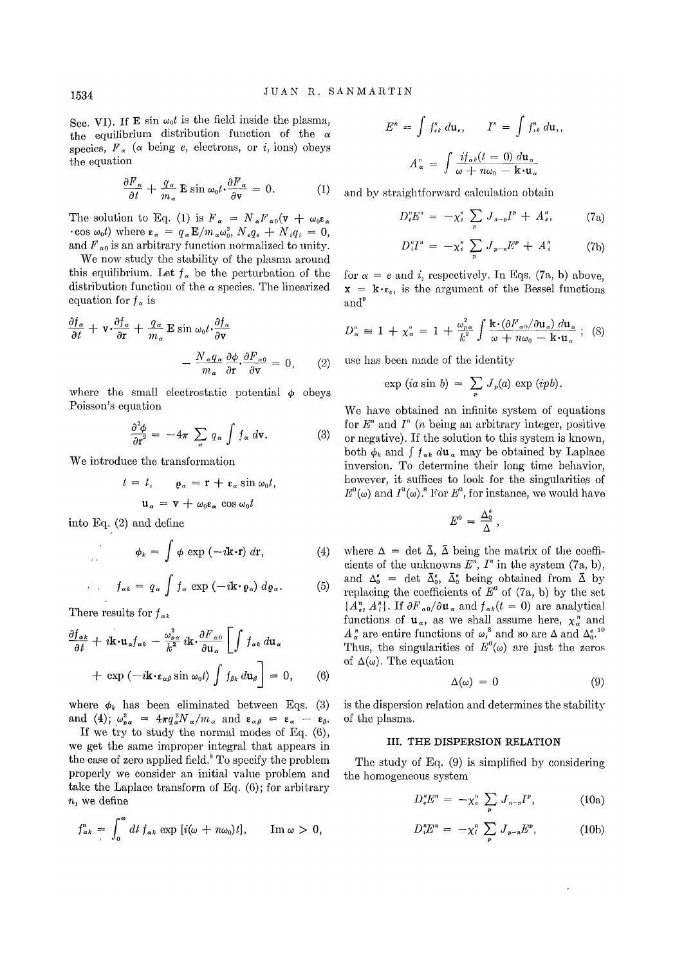Sec. VI). If **E** sin  $\omega_0 t$  is the field inside the plasma, the equilibrium distribution function of the *a*  species,  $F_\alpha$  ( $\alpha$  being  $e$ , electrons, or *i*, ions) obeys the equation

$$
\frac{\partial F_{\alpha}}{\partial t} + \frac{q_{\alpha}}{m_{\alpha}} \mathbf{E} \sin \omega_{0} t \cdot \frac{\partial F_{\alpha}}{\partial \mathbf{v}} = 0. \tag{1}
$$

The solution to Eq. (1) is  $F_a = N_a F_{\alpha 0} (v + \omega_0 \varepsilon_a)$  $\cdot$  cos  $\omega_0 t$ ) where  $\epsilon_\alpha = q_\alpha E/m_\alpha \omega_0^2$ ,  $N_e q_e + N_i q_i = 0$ , and  $F_{\alpha 0}$  is an arbitrary function normalized to unity.

We now study the stability of the plasma around this equilibrium. Let  $f_{\alpha}$  be the perturbation of the distribution function of the  $\alpha$  species. The linearized equation for  $f_{\alpha}$  is

$$
\frac{\partial f_{\alpha}}{\partial t} + \mathbf{v} \cdot \frac{\partial f_{\alpha}}{\partial \mathbf{r}} + \frac{q_{\alpha}}{m_{\alpha}} \mathbf{E} \sin \omega_{0} t \cdot \frac{\partial f_{\alpha}}{\partial \mathbf{v}} - \frac{N_{\alpha} q_{\alpha}}{m_{\alpha}} \frac{\partial \phi}{\partial \mathbf{r}} \cdot \frac{\partial F_{\alpha 0}}{\partial \mathbf{v}} = 0, \qquad (2)
$$

where the small electrostatic potential  $\phi$  obeys. Poisson's equation

$$
\frac{\partial^2 \phi}{\partial r^2} = -4\pi \sum_{\alpha} q_{\alpha} \int f_{\alpha} d\mathbf{v}.
$$
 (3)

We introduce the transformation

$$
t = t, \qquad \varrho_{\alpha} = \mathbf{r} + \mathbf{\varepsilon}_{\alpha} \sin \omega_{0} t,
$$

$$
\mathbf{u}_{\alpha} = \mathbf{v} + \omega_{0} \mathbf{\varepsilon}_{\alpha} \cos \omega_{0} t
$$

into Eq. (2) and define

$$
\phi_k = \int \phi \exp(-i\mathbf{k} \cdot \mathbf{r}) \, d\mathbf{r}, \tag{4}
$$

$$
f_{\alpha k} = q_{\alpha} \int f_{\alpha} \exp(-i\mathbf{k} \cdot \mathbf{\varrho}_{\alpha}) d\mathbf{\varrho}_{\alpha}.
$$
 (5)

There results for  $f_{\alpha k}$ 

$$
\frac{\partial f_{\alpha k}}{\partial t} + i \mathbf{k} \cdot \mathbf{u}_{\alpha} f_{\alpha k} - \frac{\omega_{p \alpha}^2}{k^2} i \mathbf{k} \cdot \frac{\partial F_{\alpha 0}}{\partial \mathbf{u}_{\alpha}} \left[ \int f_{\alpha k} d\mathbf{u}_{\alpha} \right] + \exp \left( -i \mathbf{k} \cdot \mathbf{e}_{\alpha \beta} \sin \omega_0 t \right) \int f_{\beta k} d\mathbf{u}_{\beta} \right] = 0, \qquad (6)
$$

where  $\phi_k$  has been eliminated between Eqs. (3) and (4);  $\omega_{p\alpha}^2 = 4\pi q_{\alpha}^2 N_{\alpha}/m_{\alpha}$  and  $\epsilon_{\alpha\beta} = \epsilon_{\alpha} - \epsilon_{\beta}$ .

If we try to study the normal modes of Eq. (6), we get the same improper integral that appears in the case of zero applied field.<sup>8</sup> To specify the problem properly we consider an initial value problem and take the Laplace transform of Eq. (6); for arbitrary *n,* we define

$$
f_{\alpha k}^n = \int_0^\infty dt \, f_{\alpha k} \exp [i(\omega + n\omega_0)t], \quad \text{Im } \omega > 0,
$$

$$
E^{n} = \int f_{ek}^{n} d\mathbf{u}_{e}, \qquad I^{n} = \int f_{ik}^{n} d\mathbf{u}_{i},
$$

$$
A_{\alpha}^{n} = \int \frac{if_{\alpha k}(t=0) d\mathbf{u}_{\alpha}}{\omega + n\omega_{0} - \mathbf{k} \cdot \mathbf{u}_{\alpha}}
$$

and by straightforward calculation obtain

$$
D_{\epsilon}^n E^n = -\chi_{\epsilon}^n \sum_p J_{n-p} I^p + A_{\epsilon}^n, \qquad (7a)
$$

$$
D_i^n I^n = -\chi_i^n \sum_p J_{p-n} E^p + A_i^n \qquad (7b)
$$

for  $\alpha = e$  and *i*, respectively. In Eqs. (7a, b) above,  $x = k \cdot \varepsilon_{\varepsilon}$  is the argument of the Bessel functions and<sup>9</sup>

$$
D_{\alpha}^{n} = 1 + \chi_{\alpha}^{n} = 1 + \frac{\omega_{p\alpha}^{2}}{k^{2}} \int \frac{\mathbf{k} \cdot (\partial F_{\alpha 0} / \partial \mathbf{u}_{\alpha}) d\mathbf{u}_{\alpha}}{\omega + n\omega_{0} - \mathbf{k} \cdot \mathbf{u}_{\alpha}} ; \quad (8)
$$

use has been made of the identity

$$
\exp (ia \sin b) = \sum_{p} J_{p}(a) \exp (ipb).
$$

We have obtained an infinite system of equations for *E<sup>n</sup>* and *I" (n* being an arbitrary integer, positive or negative). If the solution to this system is known, both  $\phi_k$  and  $\int f_{\alpha k} d\mathbf{u}_{\alpha}$  may be obtained by Laplace inversion. To determine their long time behavior, however, it suffices to look for the singularities of  $E^0(\omega)$  and  $I^0(\omega)$ .<sup>8</sup> For  $E^0$ , for instance, we would have

$$
E^0 = \frac{\Delta_0^{\mathfrak{s}}}{\Delta} \ ,
$$

where  $\Delta = \det \overline{\Delta}$ ,  $\overline{\Delta}$  being the matrix of the coefficients of the unknowns  $E<sup>n</sup>$ ,  $I<sup>n</sup>$  in the system  $(7a, b)$ , and  $\Delta_0^e$  = det  $\bar{\Delta}_0^e$ ,  $\bar{\Delta}_0^e$  being obtained from  $\bar{\Delta}$  by replacing the coefficients of  $E^{\circ}$  of (7a, b) by the set  $\{A_{e}^{n}, A_{i}^{n}\}$ . If  $\partial F_{\alpha 0}/\partial u_{\alpha}$  and  $f_{\alpha k}(t=0)$  are analytical functions of  $u_\alpha$ , as we shall assume here,  $\chi_\alpha^n$  and  $A_{\alpha}^{n}$  are entire functions of  $\omega$ <sup>8</sup>, and so are  $\Delta$  and  $\Delta_{0}^{e}$ <sup>10</sup> Thus, the singularities of  $E^0(\omega)$  are just the zeros of  $\Delta(\omega)$ . The equation

$$
\Delta(\omega) = 0 \tag{9}
$$

is the dispersion relation and determines the stability of the plasma.

### III. THE DISPERSION RELATION

The study of Eq. (9) is simplified by considering the homogeneous system

$$
D_e^n E^n = -\chi_e^n \sum_p J_{n-p} I^p, \qquad (10a)
$$

$$
D_i^n E^n = -\chi_i^n \sum_p J_{p-n} E^p, \qquad (10b)
$$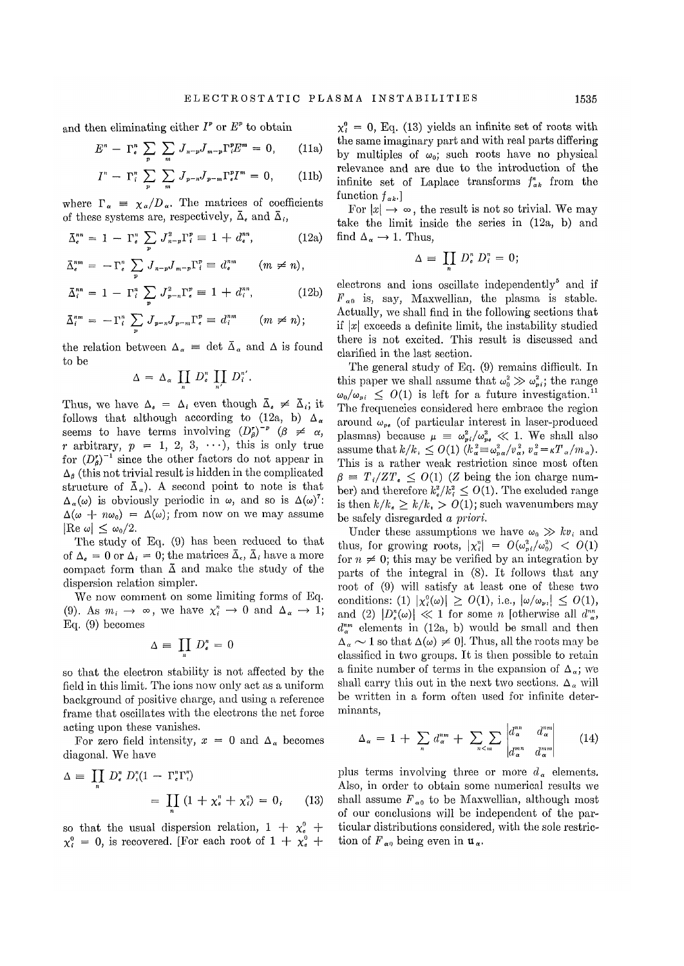and then eliminating either  $I^p$  or  $E^p$  to obtain

$$
E^{n} - \Gamma_{\epsilon}^{n} \sum_{p} \sum_{m} J_{n-p} J_{m-p} \Gamma_{i}^{p} E^{m} = 0, \qquad (11a)
$$

$$
I^{n} - \Gamma_{i}^{n} \sum_{p} \sum_{m} J_{p-n} J_{p-m} \Gamma_{e}^{p} I^{m} = 0, \qquad (11b)
$$

where  $\Gamma_{\alpha} = \chi_{\alpha}/D_{\alpha}$ . The matrices of coefficients of these systems are, respectively,  $\bar{\Delta}_{\epsilon}$  and  $\bar{\Delta}_{i}$ ,

$$
\bar{\Delta}_{e}^{nn} = 1 - \Gamma_{e}^{n} \sum_{p} J_{n-p}^{2} \Gamma_{i}^{p} \equiv 1 + d_{e}^{nn}, \qquad (12a)
$$

$$
\overline{\Delta}_\epsilon^{nm} = -\Gamma_\epsilon^n \sum_p J_{n-p} J_{m-p} \Gamma_i^p \equiv d_\epsilon^{nm} \quad (m \neq n),
$$
  

$$
\overline{\Delta}_i^{nn} = 1 - \Gamma_i^n \sum_p J_{p-n}^2 \Gamma_\epsilon^p \equiv 1 + d_i^{nn}, \quad (12b)
$$

$$
\bar{\Delta}_i^{nm} = -\Gamma_i^n \sum_p J_{p-n} J_{p-m} \Gamma_e^p \equiv d_i^{nm} \qquad (m \neq n);
$$

the relation between  $\Delta_{\alpha} = \det \bar{\Delta}_{\alpha}$  and  $\Delta$  is found to be

$$
\Delta = \Delta_{\alpha} \prod_{n} D_{\epsilon}^{n} \prod_{n'} D_{i}^{n'}.
$$

Thus, we have  $\Delta_{\epsilon} = \Delta_i$  even though  $\overline{\Delta}_{\epsilon} \neq \overline{\Delta}_i$ ; it follows that although according to  $(12a, b) \Delta_{\alpha}$ seems to have terms involving  $(D_{\beta}^{r})^{-p}$  ( $\beta \neq \alpha$ , *r* arbitrary,  $p = 1, 2, 3, \cdots$ , this is only true for  $(D_6^r)^{-1}$  since the other factors do not appear in  $\Delta_{\beta}$  (this not trivial result is hidden in the complicated structure of  $\overline{\Delta}_{\alpha}$ ). A second point to note is that  $\Delta_{\alpha}(\omega)$  is obviously periodic in  $\omega$ , and so is  $\Delta(\omega)^7$ :  $\Delta(\omega + n\omega_0) = \Delta(\omega)$ ; from now on we may assume  $|{\rm Re} \,\omega| < \omega_0/2.$ 

The study of Eq. (9) has been reduced to that of  $\Delta_e = 0$  or  $\Delta_i = 0$ ; the matrices  $\bar{\Delta}_e$ ,  $\bar{\Delta}_i$  have a more compact form than  $\bar{\Delta}$  and make the study of the dispersion relation simpler.

We now comment on some limiting forms of Eq. (9). As  $m_i \to \infty$ , we have  $\chi_i^n \to 0$  and  $\Delta_{\alpha} \to 1$ ; Eq. (9) becomes

$$
\Delta \equiv \prod_n D^n_{\mathfrak{s}} = 0
$$

so that the electron stability is not affected by the field in this limit. The ions now only act as a uniform background of positive charge, and using a reference frame that oscillates with the electrons the net force acting upon these vanishes.

For zero field intensity,  $x = 0$  and  $\Delta_{\alpha}$  becomes diagonal. We have

$$
\Delta = \prod_{n} D_{\epsilon}^{n} D_{i}^{n} (1 - \Gamma_{\epsilon}^{n} \Gamma_{i}^{n})
$$
  
= 
$$
\prod_{n} (1 + \chi_{\epsilon}^{n} + \chi_{i}^{n}) = 0, \qquad (13)
$$

so that the usual dispersion relation,  $1 + \chi_e^0 +$  $\chi_i^0 = 0$ , is recovered. [For each root of  $1 + \chi_e^0 +$ 

 $\chi_i^0 = 0$ , Eq. (13) yields an infinite set of roots with the same imaginary part and with real parts differing by multiples of  $\omega_0$ ; such roots have no physical relevance and are due to the introduction of the infinite set of Laplace transforms  $f_{ak}^n$  from the function *fak.]* 

For  $|x| \to \infty$ , the result is not so trivial. We may take the limit inside the series in (12a, b) and find  $\Delta_{\alpha} \rightarrow 1$ . Thus,

$$
\Delta \equiv \prod_n D^n_{\mathfrak{e}} D^n_i = 0;
$$

 $electrons$  and ions oscillate independently<sup>5</sup> and if  $F_{\alpha 0}$  is, say, Maxwellian, the plasma is stable. Actually, we shall find in the following sections that if  $|x|$  exceeds a definite limit, the instability studied there is not excited. This result is discussed and clarified in the last section.

The general study of Eq. (9) remains difficult. In this paper we shall assume that  $\omega_0^2 \gg \omega_{pi}^2$ ; the range  $\omega_0/\omega_{pi} \leq O(1)$  is left for a future investigation.<sup>11</sup> The frequencies considered here embrace the region around  $\omega_{pe}$  (of particular interest in laser-produced plasmas) because  $\mu = \omega_{pi}^2/\omega_{pi}^2 \ll 1$ . We shall also assume that  $k/k$ ,  $\leq O(1)$   $(k_{\alpha}^2 \equiv \omega_{p,\alpha}^2/v_{\alpha}^2, v_{\alpha}^2 = \kappa T_{\alpha}/m_{\alpha}).$ This is a rather weak restriction since most often  $\beta = T_i / Z_i \leq O(1)$  (Z being the ion charge number) and therefore  $k_i^2/k_i^2 \leq O(1)$ . The excluded range is then  $k/k_a \ge k/k_a > O(1)$ ; such wavenumbers may be safely disregarded *a priori.* 

Under these assumptions we have  $\omega_0 \gg k v_i$  and thus, for growing roots,  $|\chi_i^n| = O(\omega_{pi}^2/\omega_0^2) < O(1)$ for  $n \neq 0$ ; this may be verified by an integration by parts of the integral in (8). It follows that any root of (9) will satisfy at least one of these two conditions: (1)  $|\chi_i^0(\omega)| \geq O(1)$ , i.e.,  $|\omega/\omega_{\nu_i}| \leq O(1)$ , and (2)  $|D_{\epsilon}^{n}(\omega)| \ll 1$  for some *n* [otherwise all  $d_{\alpha}^{n}$ , *d™* elements in (12a, b) would be small and then  $\Delta_{\alpha} \sim 1$  so that  $\Delta(\omega) \neq 0$ . Thus, all the roots may be classified in two groups. It is then possible to retain a finite number of terms in the expansion of  $\Delta_{\alpha}$ ; we shall carry this out in the next two sections.  $\Delta_{\alpha}$  will be written in a form often used for infinite determinants,

$$
\Delta_{\alpha} = 1 + \sum_{n} d_{\alpha}^{nm} + \sum_{n < m} \sum_{m \mid m} \begin{vmatrix} d_{\alpha}^{nn} & d_{\alpha}^{nm} \\ d_{\alpha}^{mn} & d_{\alpha}^{mm} \end{vmatrix} \tag{14}
$$

plus terms involving three or more  $d_{\alpha}$  elements. Also, in order to obtain some numerical results we shall assume  $F_{\alpha0}$  to be Maxwellian, although most of our conclusions will be independent of the particular distributions considered, with the sole restriction of  $F_{\alpha 0}$  being even in  $\mathfrak{u}_{\alpha}$ .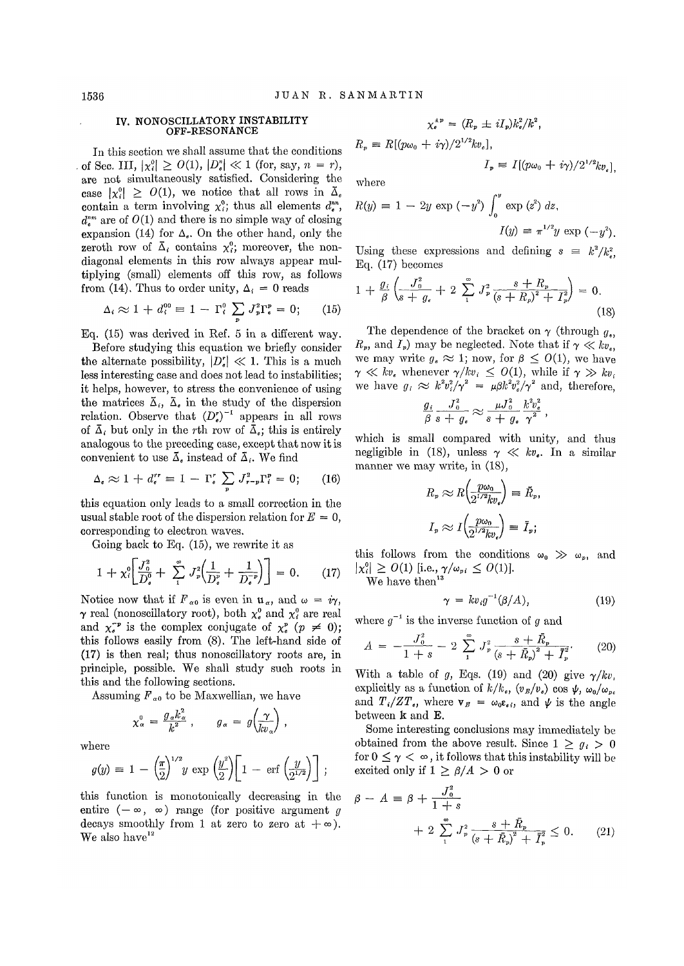#### IV. NONOSCILLATORY INSTABILITY OFF-RESONANCE

In this section we shall assume that the conditions of Sec. III,  $|\chi_i^0| \geq O(1)$ ,  $|D_{\epsilon}^n| \ll 1$  (for, say,  $n = r$ ), are not simultaneously satisfied. Considering the case  $|x_i^0| \geq O(1)$ , we notice that all rows in  $\overline{\Delta}_e$ contain a term involving  $\chi_i^0$ ; thus all elements  $d_i^{nn}$ .  $d_{\epsilon}^{nm}$  are of  $O(1)$  and there is no simple way of closing expansion (14) for  $\Delta_{e}$ . On the other hand, only the zeroth row of  $\overline{\Delta}_i$  contains  $\chi_i^0$ ; moreover, the nondiagonal elements in this row always appear multiplying (small) elements off this row, as follows from (14). Thus to order unity,  $\Delta_i = 0$  reads

$$
\Delta_i \approx 1 + d_i^{00} = 1 - \Gamma_i^0 \sum_{\mathbf{p}} J_{\mathbf{p}}^2 \Gamma_{\mathbf{e}}^{\mathbf{p}} = 0; \qquad (15)
$$

Eq. (15) was derived in Ref. 5 in a different way.

Before studying this equation we briefly consider Before studying this equation we briefly consider<br>the alternate possibility,  $|D_{\bullet}^r| \ll 1$ . This is a much less interesting case and does not lead to instabilities; it helps, however, to stress the convenience of using the matrices  $\bar{\Delta}_i$ ,  $\bar{\Delta}_s$  in the study of the dispersion relation. Observe that  $(D_{\lambda}^{\prime})^{-1}$  appears in all rows of  $\bar{\Delta}_i$  but only in the rth row of  $\bar{\Delta}_i$ ; this is entirely analogous to the preceding case, except that now it is convenient to use  $\bar{\Delta}$ , instead of  $\bar{\Delta}$ .. We find

$$
\Delta_{e} \approx 1 + d_{e}^{rr} \equiv 1 - \Gamma_{e}^{r} \sum_{p} J_{r-p}^{2} \Gamma_{i}^{p} = 0; \qquad (16)
$$

this equation only leads to a small correction in the usual stable root of the dispersion relation for  $E = 0$ , corresponding to electron waves.

Going back to Eq. (15), we rewrite it as

$$
1 + \chi_i^0 \bigg[ \frac{J_0^2}{D_e^0} + \sum_{1}^{\infty} J_{\nu}^2 \bigg( \frac{1}{D_e^{\nu}} + \frac{1}{D_e^{-\nu}} \bigg) \bigg] = 0. \qquad (17)
$$

Notice now that if  $F_{\alpha 0}$  is even in  $\mathfrak{u}_{\alpha}$ , and  $\omega = i\gamma$ ,  $\gamma$  real (nonoscillatory root), both  $\chi^0_s$  and  $\chi^0_i$  are real  $\gamma$  real (nonoscillatory root), both  $\chi^0$  and  $\chi^0$  are real and  $\chi^0$  is the complex conjugate of  $\chi^p$  ( $p \neq 0$ ); this follows easily from (8). The left-hand side of (17) is then real; thus nonoscillatory roots are, in principle, possible. We shall study such roots in this and the following sections.

Assuming  $F_{\alpha0}$  to be Maxwellian, we have

$$
\chi_{\alpha}^{0} = \frac{g_{\alpha} k_{\alpha}^{2}}{k^{2}} , \qquad g_{\alpha} = g \left( \frac{\gamma}{kv_{\alpha}} \right) ,
$$

where

$$
g(y) = 1 - \left(\frac{\pi}{2}\right)^{1/2} y \exp\left(\frac{y^2}{2}\right) \left[1 - \text{erf}\left(\frac{y}{2^{1/2}}\right)\right];
$$

this function is monotonically decreasing in the entire  $(-\infty, \infty)$  range (for positive argument *g* decays smoothly from 1 at zero to zero at  $+\infty$ ). We also have  $12$ 

$$
\chi_e^{*p} = (R_p \pm iI_p)k_e^2/k^2,
$$
  

$$
R_p \equiv R[(p\omega_0 + i\gamma)/2^{1/2}kv_e],
$$

where

$$
R(y) \equiv 1 - 2y \exp(-y^2) \int_0^y \exp(z^2) dz,
$$
  

$$
I(y) \equiv \pi^{1/2} y \exp(-y^2).
$$

 $I_p \equiv I[(p\omega_0 + i\gamma)/2^{1/2}ky]$ 

Using these expressions and defining  $s = k^2 / k_e^2$ Eq. (17) becomes

$$
1 + \frac{g_i}{\beta} \left( \frac{J_0^2}{s + g_e} + 2 \sum_{1}^{\infty} J_p^2 \frac{s + R_p}{(s + R_p)^2 + I_p^2} \right) = 0.
$$
\n(18)

The dependence of the bracket on  $\gamma$  (through  $g_{\gamma}$ )  $R_v$ , and  $I_v$  may be neglected. Note that if  $\gamma \ll k v_s$ , we may write  $g_e \approx 1$ ; now, for  $\beta \leq O(1)$ , we have  $\gamma \ll k v_e$  whenever  $\gamma / k v_i \leq O(1)$ , while if  $\gamma \gg k v_i$ we have  $g_i \approx k^2 v_i^2 / \gamma^2 = \mu \beta k^2 v_i^2 / \gamma^2$  and, therefore,

$$
\frac{g_i}{\beta} \frac{J_0^2}{s+g_s} \approx \frac{\mu J_0^2}{s+g_s} \frac{k^2 v_e^2}{\gamma^2} ,
$$

which is small compared with unity, and thus negligible in (18), unless  $\gamma \ll kv_{\bullet}$ . In a similar manner we may write, in (18),

$$
R_p \approx R \left(\frac{p\omega_0}{2^{1/2}kv_e}\right) \equiv \tilde{R}_p,
$$
  

$$
I_p \approx I \left(\frac{p\omega_0}{2^{1/2}kv_e}\right) \equiv \bar{I}_p;
$$

this follows from the conditions  $\omega_0 \gg \omega_p$ , and  $|\chi_i^0| \geq O(1)$  [i.e.,  $\gamma/\omega_{pi} \leq O(1)$ ]. We have then<sup>13</sup>

$$
\gamma = k v_i g^{-1} (\beta/A), \qquad (19)
$$

where  $g^{-1}$  is the inverse function of g and

$$
A = -\frac{J_0^2}{1+s} - 2\sum_{1}^{\infty} J_p^2 \frac{s+\bar{R}_p}{(s+\bar{R}_p)^2+\bar{I}_p^2}.
$$
 (20)

With a table of g, Eqs. (19) and (20) give  $\gamma/kv_i$ explicitly as a function of  $k/k_e$ ,  $(v_B/v_e)$  cos  $\psi$ ,  $\omega_0/\omega_{pe}$ and  $T_i/2T_e$ , where  $v_B = \omega_0 \epsilon_{ei}$ , and  $\psi$  is the angle between k and E.

Some interesting conclusions may immediately be obtained from the above result. Since  $1 \geq g_i > 0$ for  $0 \leq \gamma < \infty$ , it follows that this instability will be excited only if  $1 \geq \beta/A > 0$  or

$$
\beta - A = \beta + \frac{J_0^2}{1+s} + 2 \sum_{1}^{\infty} J_p^2 \frac{s + \bar{R}_p}{(s + \bar{R}_p)^2 + \bar{I}_p^2} \le 0.
$$
 (21)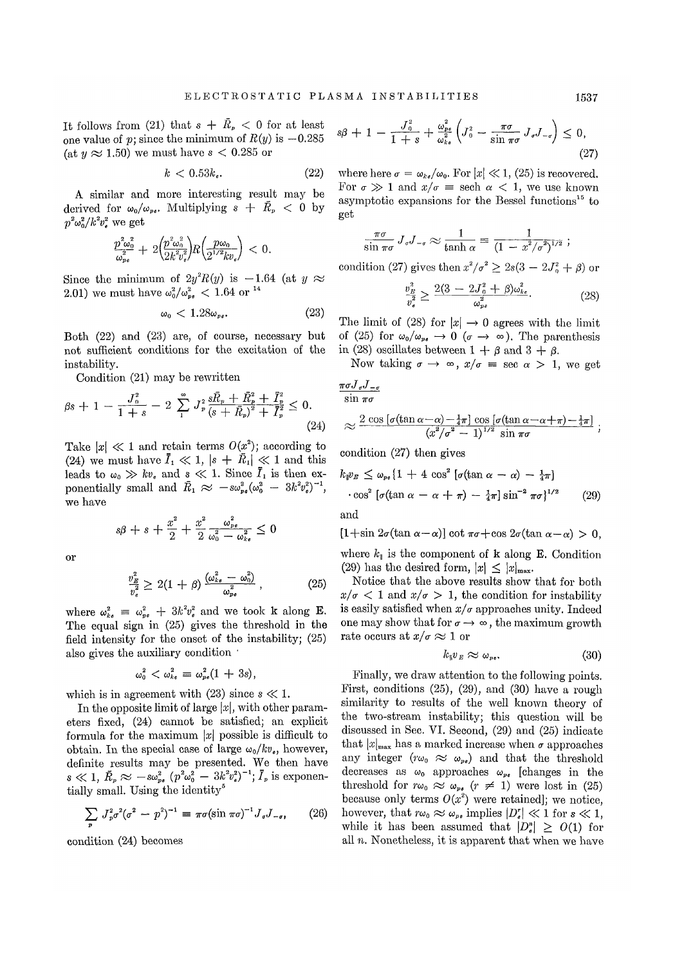It follows from (21) that  $s + \overline{R}_p < 0$  for at least one value of p; since the minimum of  $R(y)$  is  $-0.285$ (at  $y \approx 1.50$ ) we must have  $s < 0.285$  or

$$
k < 0.53k_{\epsilon}.\tag{22}
$$

A similar and more interesting result may be derived for  $\omega_0/\omega_{pe}$ . Multiplying  $s + \bar{R}_p < 0$  by  $p^2\omega_0^2/k^2v_e^2$  we get

$$
\frac{p_{\omega_0^2}^2}{\omega_{pe}^2} + 2 \left( \frac{p_{\omega_0^2}^2}{2k^2 v_e^2} \right) R \left( \frac{p_{\omega_0}}{2^{1/2} k v_e} \right) < 0.
$$

Since the minimum of  $2y^2R(y)$  is  $-1.64$  (at  $y \approx 2.01$ ) we must have  $a^2/a^2 < 1.64$  or <sup>14</sup> 2.01) we must have  $\omega_0^2/\omega_{pe}^2 < 1.64$  or <sup>14</sup>

$$
\omega_0 < 1.28 \omega_{\rm pe}. \tag{23}
$$

Both (22) and (23) are, of course, necessary but not sufficient conditions for the excitation of the instability.

Condition (21) may be rewritten

$$
\beta s + 1 - \frac{J_0^2}{1+s} - 2 \sum_{1}^{\infty} J_p^2 \frac{s \bar{R}_p + \bar{R}_p^2 + \bar{I}_p^2}{(s + \bar{R}_p)^2 + \bar{I}_p^2} \le 0.
$$
\n(24)

Take  $|x| \ll 1$  and retain terms  $O(x^2)$ ; according to (24) we must have  $\overline{I}_1 \ll 1$ ,  $|s + \overline{R}_1| \ll 1$  and this leads to  $\omega_0 \gg kv_s$  and  $s \ll 1$ . Since  $\overline{I}_1$  is then exponentially small and  $\bar{R}_1 \approx -s\omega_{pe}^2(\omega_0^2 - 3k^2v_e^2)^{-1}$ , we have

$$
s\beta + s + \frac{x^2}{2} + \frac{x^2}{2} \frac{\omega_{pe}^2}{\omega_0^2 - \omega_{ke}^2} \leq 0
$$

or

$$
\frac{v_E^2}{v_e^2} \ge 2(1+\beta) \frac{(\omega_{ke}^2 - \omega_0^2)}{\omega_{pe}^2},
$$
 (25)

where  $\omega_{k_e}^2 = \omega_{pe}^2 + 3k^2v_e^2$  and we took k along E. The equal sign in (25) gives the threshold in the field intensity for the onset of the instability; (25) also gives the auxiliary condition '

 $\omega_0^2 < \omega_{ke}^2 \equiv \omega_{ne}^2 (1 + 3s),$ 

which is in agreement with (23) since  $s \ll 1$ .

In the opposite limit of large  $|x|$ , with other parameters fixed, (24) cannot be satisfied; an explicit formula for the maximum  $|x|$  possible is difficult to obtain. In the special case of large  $\omega_0/kv_e$ , however, definite results may be presented. We then have  $s \ll 1$ ,  $\bar{R}_p \approx -s\omega_{pe}^2 (p^2\omega_0^2 - 3k^2v_e^2)^{-1}$ ;  $\bar{I}_p$  is exponentially small. Using the identity<sup>5</sup>

$$
\sum_{p} J_{p}^{2} \sigma^{2} (\sigma^{2} - p^{2})^{-1} \equiv \pi \sigma (\sin \pi \sigma)^{-1} J_{\sigma} J_{-\sigma}, \qquad (26)
$$

condition (24) becomes

$$
s\beta + 1 - \frac{J_0^2}{1+s} + \frac{\omega_{pe}^2}{\omega_{ke}^2} \left( J_0^2 - \frac{\pi\sigma}{\sin \pi\sigma} J_{\sigma} J_{-\sigma} \right) \le 0,
$$
\n(27)

where here  $\sigma = \omega_{k e}/\omega_0$ . For  $|x| \ll 1$ , (25) is recovered. For  $\sigma \gg 1$  and  $x/\sigma =$  sech  $\alpha < 1$ , we use known asymptotic expansions for the Bessel functions<sup>15</sup> to get

$$
\frac{\pi\sigma}{\sin \pi\sigma} J_{\sigma}J_{-\sigma} \approx \frac{1}{\tanh \alpha} \equiv \frac{1}{(1 - x^2/\sigma^2)^{1/2}} ;
$$

condition (27) gives then  $x^2/\sigma^2 \geq 2s(3 - 2J_0^2 + \beta)$  or

$$
\frac{v_E^2}{v_e^2} \ge \frac{2(3 - 2J_0^2 + \beta)\omega_{k\epsilon}^2}{\omega_{p\epsilon}^2}.
$$
 (28)

The limit of (28) for  $|x| \to 0$  agrees with the limit of (25) for  $\omega_0/\omega_{\nu\epsilon} \to 0$  ( $\sigma \to \infty$ ). The parenthesis in (28) oscillates between  $1 + \beta$  and  $3 + \beta$ .

Now taking  $\sigma \to \infty$ ,  $x/\sigma = \sec \alpha > 1$ , we get

 $\pi \sigma J_{\sigma} J_{-\sigma}$  $\sin \pi \sigma$ 

$$
\approx \frac{2 \cos \left[\sigma(\tan \alpha - \alpha) - \frac{1}{4}\pi\right] \cos \left[\sigma(\tan \alpha - \alpha + \pi) - \frac{1}{4}\pi\right]}{\left(x^2/\sigma^2 - 1\right)^{1/2} \sin \pi\sigma};
$$

condition (27) then gives

$$
k_{\parallel}v_E \leq \omega_{\nu\sigma}\left\{1 + 4\cos^2\left[\sigma(\tan\alpha - \alpha) - \frac{1}{4}\pi\right]\right.
$$
  
. 
$$
\cos^2\left[\sigma(\tan\alpha - \alpha + \pi) - \frac{1}{4}\pi\right]\sin^{-2}\pi\sigma\right\}^{1/2}
$$
 (29)

and

$$
[1+\sin 2\sigma(\tan \alpha-\alpha)]\cot \pi\sigma+\cos 2\sigma(\tan \alpha-\alpha) > 0,
$$

where  $k_{\parallel}$  is the component of **k** along **E**. Condition (29) has the desired form,  $|x| \leq |x|_{\max}$ .

Notice that the above results show that for both  $x/\sigma$  < 1 and  $x/\sigma$  > 1, the condition for instability is easily satisfied when *x/a* approaches unity. Indeed one may show that for  $\sigma \to \infty$ , the maximum growth rate occurs at  $x/\sigma \approx 1$  or

$$
k_{\mathbf{W}}v_{E} \approx \omega_{\mathbf{P}^{\bullet}}.\tag{30}
$$

Finally, we draw attention to the following points. First, conditions (25), (29), and (30) have a rough similarity to results of the well known theory of the two-stream instability; this question will be discussed in Sec. VI. Second, (29) and (25) indicate that  $|x|_{\text{max}}$  has a marked increase when  $\sigma$  approaches any integer  $(r\omega_0 \approx \omega_{pe})$  and that the threshold decreases as  $\omega_0$  approaches  $\omega_{\nu}$  [changes in the threshold for  $r\omega_0 \approx \omega_{\nu}$ ,  $(r \neq 1)$  were lost in (25) because only terms  $O(x^2)$  were retained]; we notice, however, that  $r\omega_0 \approx \omega_{p_e}$  implies  $|D_*| \ll 1$  for  $s \ll 1$ , while it has been assumed that  $\left|D_{\mu}^{n}\right| > O(1)$  for all *n.* Nonetheless, it is apparent that when we have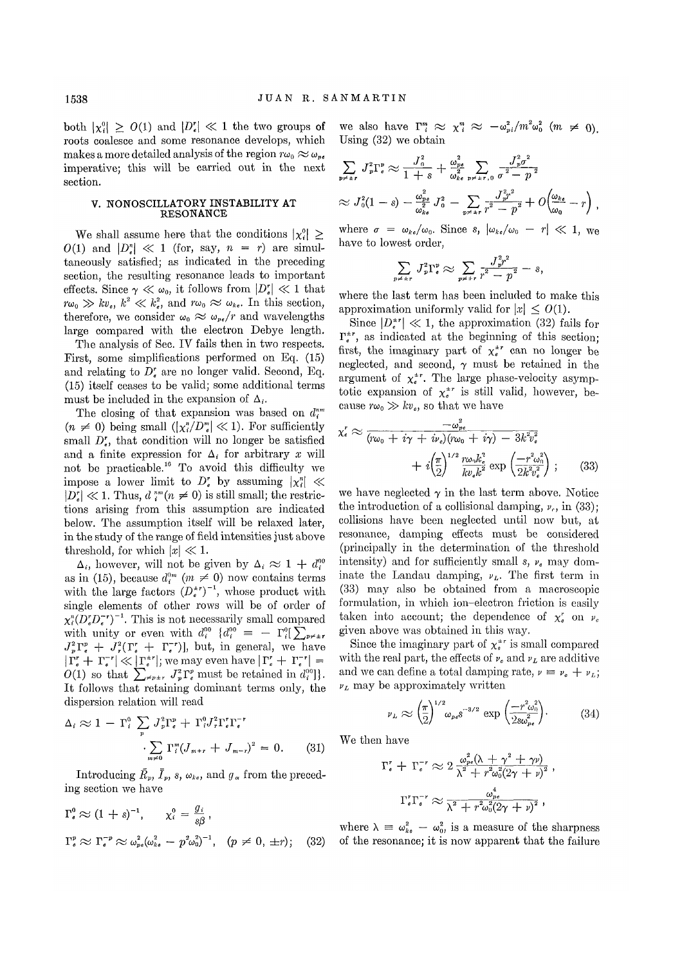both  $|\chi_i^0| \geq O(1)$  and  $|D_{\epsilon}^r| \ll 1$  the two groups of roots coalesce and some resonance develops, which makes a more detailed analysis of the region  $r\omega_0 \approx \omega_{ne}$ imperative; this will be carried out in the next section.

#### V. NONOSCILLATORY INSTABILITY AT RESONANCE

We shall assume here that the conditions  $|\chi_i^0| \ge$  $O(1)$  and  $|D^n| \ll 1$  (for, say,  $n = r$ ) are simultaneously satisfied; as indicated in the preceding section, the resulting resonance leads to important effects. Since  $\gamma \ll \omega_0$ , it follows from  $|D^{\prime}_{\epsilon}| \ll 1$  that  $f(x_0 \gg kv_e, k^2 \ll k_e^2$ , and  $r\omega_0 \approx \omega_{ke}$ . In this section, therefore, we consider  $\omega_0 \approx \omega_{pe}/r$  and wavelengths large compared with the electron Debye length.

The analysis of Sec. IV fails then in two respects. First, some simplifications performed on Eq. (15) and relating to  $D_{\epsilon}^{r}$  are no longer valid. Second, Eq. (15) itself ceases to be valid; some additional terms must be included in the expansion of  $\Delta_i$ .

The closing of that expansion was based on *d"<sup>m</sup>*  $(n \neq 0)$  being small  $(|x_i^n/D_s^n| \ll 1)$ . For sufficiently small  $D_{\epsilon}^r$ , that condition will no longer be satisfied and a finite expression for  $\Delta_i$  for arbitrary *x* will not be practicable.<sup>16</sup> To avoid this difficulty we impose a lower limit to D'<sub>*e*</sub> by assuming  $|\chi_i^n| \ll$  $|D_{\epsilon}^{r}| \ll 1$ . Thus,  $d_{i}^{nm}(n \neq 0)$  is still small; the restrictions arising from this assumption are indicated below. The assumption itself will be relaxed later, in the study of the range of field intensities just above threshold, for which  $|x| \ll 1$ .

 $\Delta_i$ , however, will not be given by  $\Delta_i \approx 1 + d_i^{00}$ as in (15), because  $d_i^{0m}$  ( $m \neq 0$ ) now contains terms with the large factors  $(D_e^{tr})^{-1}$ , whose product with single elements of other rows will be of order of  $\chi_i^n(D_e^r D_e^{-r})^{-1}$ . This is not necessarily small compared with unity or even with  $d_i^{00}$   $\{d_i^{00} = -\Gamma_i^{0}[\sum_{p\neq \pm r}$  $J_n^2\Gamma_e^p + J_r^2(\Gamma_a^r + \Gamma_e^{r})$ , but, in general, we have  $|\Gamma_a^r + \Gamma_a^{-r}| \ll |\Gamma_a^{*r}|$ ; we may even have  $|\Gamma_a^r + \Gamma_a^{-r}| =$  $O(1)$  so that  $\sum_{\neq p\pm r} J_p^2 \Gamma_\epsilon^p$  must be retained in  $d_i^{00}$ . It follows that retaining dominant terms only, the dispersion relation will read

$$
\Delta_i \approx 1 - \Gamma_i^0 \sum_p J_p^2 \Gamma_e^p + \Gamma_i^0 J_r^2 \Gamma_e^r \Gamma_e^{r}
$$

$$
\sum_{m \neq 0} \Gamma_i^m (J_{m+r} + J_{m-r})^2 = 0. \tag{31}
$$

Introducing  $\bar{R}_p$ ,  $\bar{I}_p$ ,  $s$ ,  $\omega_{k\ell}$ , and  $g_{\alpha}$  from the preceding section we have

$$
\Gamma_{\epsilon}^{0} \approx (1+s)^{-1}, \qquad \chi_{i}^{0} = \frac{g_{i}}{s\beta},
$$
  

$$
\Gamma_{\epsilon}^{p} \approx \Gamma_{\epsilon}^{-p} \approx \omega_{p\epsilon}^{2}(\omega_{k\epsilon}^{2} - p^{2}\omega_{0}^{2})^{-1}, \quad (p \neq 0, \pm r); \quad (32)
$$

we also have  $\Gamma_i^m \approx \chi_i^m \approx -\omega_{pi}^2/m^2\omega_0^2$  (m  $\neq$  0). Using (32) we obtain

$$
\sum_{p \neq \pm r} J_p^2 \Gamma_e^p \approx \frac{J_0^2}{1+s} + \frac{\omega_{pe}^2}{\omega_{ke}^2} \sum_{p \neq \pm r,0} \frac{J_p^2 \sigma^2}{\sigma^2 - p^2}
$$
  

$$
\approx J_0^2 (1-s) - \frac{\omega_{pe}^2}{\omega_{ke}^2} J_0^2 - \sum_{p \neq \pm r} \frac{J_p^2 r^2}{r^2 - p^2} + O\left(\frac{\omega_{ke}}{\omega_0} - r\right),
$$

where  $\sigma = \omega_{ke}/\omega_0$ . Since s,  $|\omega_{ke}/\omega_0 - r| \ll 1$ , we have to lowest order,

$$
\sum_{\varphi \pm r} J_p^2 \Gamma_\epsilon^p \approx \sum_{p \neq \pm r} \frac{J_p^2 r^2}{r^2 - p^2} - s,
$$

where the last term has been included to make this approximation uniformly valid for  $|x| \leq O(1)$ .

Since  $|D_{\epsilon}^{\pm r}| \ll 1$ , the approximation (32) fails for  $\Gamma_{\epsilon}^{\pm r}$ , as indicated at the beginning of this section; first, the imaginary part of  $\chi_e^{tr}$  can no longer be neglected, and second,  $\gamma$  must be retained in the argument of  $\chi_e^{\pm r}$ . The large phase-velocity asymptotic expansion of  $\chi_e^{tr}$  is still valid, however, because  $r\omega_0 \gg kv_{\epsilon}$ , so that we have

$$
\chi_{\epsilon}^{r} \approx \frac{-\omega_{pe}^{2}}{(r\omega_{0} + i\gamma + i\nu_{e})(r\omega_{0} + i\gamma) - 3k^{2}v_{\epsilon}^{2}} + i\left(\frac{\pi}{2}\right)^{1/2}\frac{r\omega_{0}k_{e}^{2}}{kv_{e}k^{2}}\exp\left(\frac{-r^{2}\omega_{0}^{2}}{2k^{2}v_{\epsilon}^{2}}\right);
$$
 (33)

we have neglected  $\gamma$  in the last term above. Notice the introduction of a collisional damping,  $\nu_c$ , in (33); collisions have been neglected until now but, at resonance, damping effects must be considered (principally in the determination of the threshold intensity) and for sufficiently small *s, vc* may dominate the Landau damping, *vL.* The first term in (33) may also be obtained from a macroscopic formulation, in which ion-electron friction is easily taken into account; the dependence of  $\chi^r_e$  on  $\nu_e$ given above was obtained in this way.

Since the imaginary part of  $\chi_e^{p}$  is small compared with the real part, the effects of  $\nu_e$  and  $\nu_L$  are additive and we can define a total damping rate,  $\nu = \nu_c + \nu_L$ ; *vL* may be approximately written

$$
\nu_L \approx \left(\frac{\pi}{2}\right)^{1/2} \omega_{pe} s^{-3/2} \exp\left(\frac{-r^2 \omega_0^2}{2s\omega_{pe}^2}\right).
$$
 (34)

We then have

$$
\Gamma_{\epsilon}^{r} + \Gamma_{\epsilon}^{-r} \approx 2 \frac{\omega_{pe}^{2} (\lambda + \gamma^{2} + \gamma v)}{\lambda^{2} + r^{2} \omega_{0}^{2} (2\gamma + v)^{2}},
$$

$$
\Gamma_{\epsilon}^{r} \Gamma_{\epsilon}^{-r} \approx \frac{\omega_{pe}^{4}}{\lambda^{2} + r^{2} \omega_{0}^{2} (2\gamma + v)^{2}},
$$

where  $\lambda = \omega_{k_{e}}^{2} - \omega_{0}^{2}$ , is a measure of the sharpness of the resonance; it is now apparent that the failure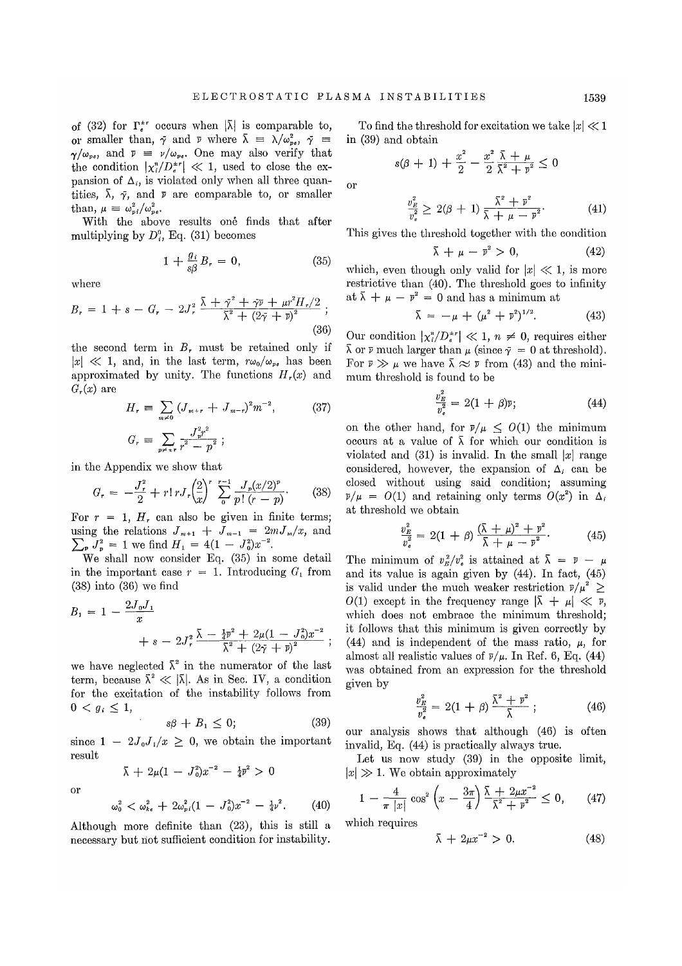of (32) for  $\Gamma_{\epsilon}^{tr}$  occurs when  $|\bar{\lambda}|$  is comparable to, or smaller than,  $\gamma$  and  $\nu$  where  $\bar{\lambda} = \lambda/\omega_{pe}^2$ ,  $\bar{\gamma} =$  $\gamma/\omega_{pe}$ , and  $\bar{\nu} = \nu/\omega_{pe}$ . One may also verify that the condition  $|\chi_i^n/D_e^{*r}| \ll 1$ , used to close the expansion of  $\Delta_i$ , is violated only when all three quantities,  $\bar{\lambda}$ ,  $\bar{\gamma}$ , and  $\bar{\nu}$  are comparable to, or smaller than,  $\mu = \omega_{pi}^2/\omega_{ne}^2$ .

With the above results one finds that after multiplying by  $D^0$ , Eq. (31) becomes

$$
1 + \frac{g_i}{s\beta} B_r = 0, \qquad (35)
$$

where

$$
B_r = 1 + s - G_r - 2J_r^2 \frac{\bar{\lambda} + \bar{\gamma}^2 + \bar{\gamma} \bar{\nu} + \mu r^2 H_r/2}{\bar{\lambda}^2 + (2\bar{\gamma} + \bar{\nu})^2};
$$
\n(36)

the second term in  $B_r$ , must be retained only if  $|x| \ll 1$ , and, in the last term,  $r\omega_0/\omega_{pe}$  has been approximated by unity. The functions  $H_r(x)$  and  $G_r(x)$  are

$$
H_r \equiv \sum_{m \neq 0} (J_{m+r} + J_{m-r})^2 m^{-2}, \qquad (37)
$$
  

$$
G_r \equiv \sum_{p \neq \pm r} \frac{J_p^2 r^2}{r^2 - p^2};
$$

in the Appendix we show that

$$
G_r = -\frac{J_r^2}{2} + r! r J_r \left(\frac{2}{x}\right)^r \sum_{0}^{r-1} \frac{J_r(x/2)^r}{p! (r-p)}.
$$
 (38)

For  $r = 1$ ,  $H_r$  can also be given in finite terms; using the relations  $J_{m+1} + J_{m-1} = 2mJ_m/x$ , and  $\sum_{p} J_{p}^{2} = 1$  we find  $H_{1} = 4(1 - J_{0}^{2})x^{-2}$ .

We shall now consider Eq. (35) in some detail in the important case  $r = 1$ . Introducing  $G_1$  from (38) into (36) we find

$$
B_1 = 1 - \frac{2J_0J_1}{x} + s - 2J_r^2 \frac{\bar{\lambda} - \frac{1}{4} \bar{v}^2 + 2\mu (1 - J_0^2) x^{-2}}{\bar{\lambda}^2 + (2\bar{\gamma} + \bar{v})^2};
$$

we have neglected  $\bar{\lambda}^2$  in the numerator of the last term, because  $\bar{\lambda}^2 \ll |\bar{\lambda}|$ . As in Sec. IV, a condition for the excitation of the instability follows from  $0 < g_i \leq 1$ ,

$$
s\beta + B_1 \le 0; \tag{39}
$$

since  $1 - 2J_0J_1/x \geq 0$ , we obtain the important result

 $\bar{\lambda} + 2\mu(1 - J_0^2)x^{-2} - \frac{1}{4}\bar{v}^2 > 0$ 

or

$$
\omega_0^2 < \omega_{k\epsilon}^2 + 2\omega_{pi}^2(1 - J_0^2)x^{-2} - \tfrac{1}{4}\nu^2. \tag{40}
$$

Although more definite than (23), this is still a necessary but not sufficient condition for instability.

To find the threshold for excitation we take  $|x| \ll 1$ in (39) and obtain

$$
s(\beta + 1) + \frac{x^2}{2} - \frac{x^2}{2} \frac{\bar{\lambda} + \mu}{\bar{\lambda}^2 + \bar{\nu}^2} \le 0
$$

or

$$
\frac{v_E^2}{v_e^2} \ge 2(\beta + 1) \frac{\bar{\lambda}^2 + \bar{v}^2}{\bar{\lambda} + \mu - \bar{v}^2}.
$$
 (41)

This gives the threshold together with the condition

$$
\bar{\lambda} + \mu - \bar{v}^2 > 0, \tag{42}
$$

which, even though only valid for  $|x| \ll 1$ , is more restrictive than (40). The threshold goes to infinity at  $\bar{\lambda} + \mu - \bar{v}^2 = 0$  and has a minimum at

$$
\bar{\lambda} = -\mu + (\mu^2 + \bar{v}^2)^{1/2}.
$$
 (43)

Our condition  $|\chi_i^n/D_*^{n-r}| \ll 1$ ,  $n \neq 0$ , requires either  $\bar{\lambda}$  or  $\bar{\nu}$  much larger than  $\mu$  (since  $\bar{\gamma} = 0$  at threshold). For  $\bar{\nu} \gg \mu$  we have  $\bar{\lambda} \approx \bar{\nu}$  from (43) and the minimum threshold is found to be

$$
\frac{v_{\overline{B}}^2}{v_e^2} = 2(1+\beta)\overline{v};\tag{44}
$$

on the other hand, for  $\bar{\nu}/\mu \leq O(1)$  the minimum occurs at a value of  $\bar{\lambda}$  for which our condition is violated and  $(31)$  is invalid. In the small  $|x|$  range considered, however, the expansion of  $\Delta_i$  can be closed without using said condition; assuming  $\bar{\nu}/\mu = O(1)$  and retaining only terms  $O(x^2)$  in  $\Delta_i$ at threshold we obtain

$$
\frac{v_E^2}{v_e^2} = 2(1+\beta)\frac{(\bar{\lambda}+\mu)^2+\bar{v}^2}{\bar{\lambda}+\mu-\bar{v}^2}.
$$
 (45)

The minimum of  $v_E^2/v_e^2$  is attained at  $\bar{\lambda} = \bar{\nu} - \mu$ and its value is again given by (44). In fact, (45) is valid under the much weaker restriction  $\bar{\nu}/\mu^2 \geq$  $O(1)$  except in the frequency range  $|\bar{\lambda} + \mu| \ll \bar{\nu}$ , which does not embrace the minimum threshold; it follows that this minimum is given correctly by (44) and is independent of the mass ratio,  $\mu$ , for almost all realistic values of  $\bar{\nu}/\mu$ . In Ref. 6, Eq. (44) was obtained from an expression for the threshold given by

$$
\frac{v_E^2}{v_e^2} = 2(1+\beta)\frac{\bar{\lambda}^2 + \bar{v}^2}{\bar{\lambda}} ; \qquad (46)
$$

our analysis shows that although (46) is often invalid, Eq. (44) is practically always true.

Let us now study (39) in the opposite limit,  $|x| \gg 1$ . We obtain approximately

$$
1 - \frac{4}{\pi |x|} \cos^2 \left( x - \frac{3\pi}{4} \right) \frac{\bar{\lambda} + 2\mu x^{-2}}{\bar{\lambda}^2 + \bar{v}^2} \le 0, \qquad (47)
$$

which requires

$$
\bar{\lambda} + 2\mu x^{-2} > 0. \tag{48}
$$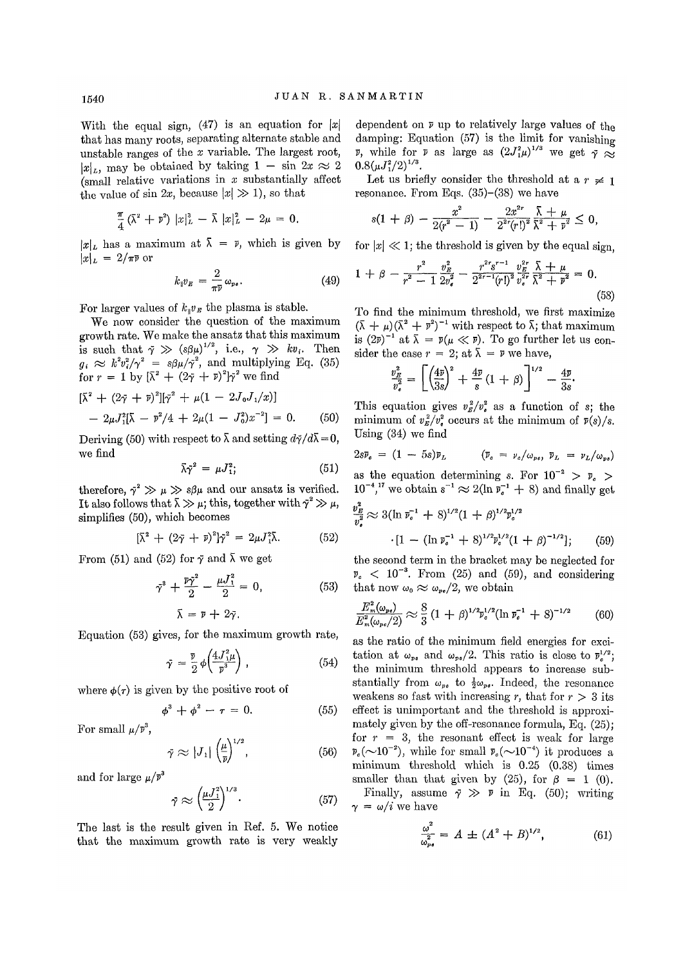With the equal sign,  $(47)$  is an equation for |x| that has many roots, separating alternate stable and unstable ranges of the *x* variable. The largest root,  $|x|_L$ , may be obtained by taking  $1 - \sin 2x \approx 2$ (small relative variations in *x* substantially affect the value of sin 2x, because  $|x| \gg 1$ , so that

$$
\frac{\pi}{4}(\bar{\lambda}^2+\bar{v}^2)\,|x|_L^3-\bar{\lambda}\,|x|_L^2-2\mu=0.
$$

 $|x|_L$  has a maximum at  $\bar{\lambda} = \bar{\nu}$ , which is given by  $|x|_L = 2/\pi \bar{\nu}$  or

$$
k_{\parallel}v_E = \frac{2}{\pi \bar{\nu}} \omega_{\nu \epsilon}.
$$
 (49)  $1 + \beta -$ 

For larger values of  $k_{\parallel}v_{B}$  the plasma is stable.

We now consider the question of the maximum growth rate. We make the ansatz that this maximum is such that  $\bar{\gamma} \gg (s\beta\mu)^{1/2}$ , i.e.,  $\gamma \gg kv_i$ . Then  $g_i \approx k^2 v_i^2 / \gamma^2 = s \beta \mu / \bar{\gamma}^2$ , and multiplying Eq. (35) for  $r = 1$  by  $[\bar{\lambda}^2 + (2\bar{\gamma} + \bar{\nu})^2]\bar{\gamma}^2$  we find

$$
[\bar{\lambda}^2 + (2\bar{\gamma} + \bar{\nu})^2][\bar{\gamma}^2 + \mu(1 - 2J_0J_1/x)]
$$
  
- 2\mu J\_1^2[\bar{\lambda} - \bar{\nu}^2/4 + 2\mu(1 - J\_0^2)x^{-2}] = 0. (50)

Deriving (50) with respect to  $\bar{\lambda}$  and setting  $d\bar{\gamma}/d\bar{\lambda} = 0$ , we find

$$
\bar{\lambda}\bar{\gamma}^2 = \mu J_1^2; \qquad (51)
$$

therefore,  $\tilde{\gamma}^2 \gg \mu \gg s\beta\mu$  and our ansatz is verified.  $10^{-4}$ It also follows that  $\bar{\lambda} \gg \mu$ ; this, together with  $\gamma^2 \gg \mu$ , simplifies  $(50)$ , which becomes

$$
[\bar{\lambda}^2 + (2\bar{\gamma} + \bar{v})^2] \bar{\gamma}^2 = 2\mu J_1^2 \bar{\lambda}.
$$
 (52)

From (51) and (52) for  $\tilde{\gamma}$  and  $\tilde{\lambda}$  we get

$$
\tilde{\gamma}^3 + \frac{\bar{p}\tilde{\gamma}^2}{2} - \frac{\mu J_1^2}{2} = 0, \qquad (53)
$$

$$
\bar{\lambda} = \bar{p} + 2\bar{\gamma}.
$$

Equation (53) gives, for the maximum growth rate,

$$
\bar{\gamma} = \frac{\bar{v}}{2} \phi \left( \frac{4J_1^2 \mu}{\bar{v}^3} \right), \tag{54}
$$

where  $\phi(\tau)$  is given by the positive root of

$$
\phi^3 + \phi^2 - \tau = 0. \tag{55}
$$

For small  $\mu/\bar{v}^3$ ,

$$
\bar{\gamma} \approx |J_1| \left(\frac{\mu}{\bar{\nu}}\right)^{1/2},\tag{56}
$$

and for large  $\mu/\bar{v}^3$ 

$$
\bar{\gamma} \approx \left(\frac{\mu J_1^2}{2}\right)^{1/3}.\tag{57}
$$

The last is the result given in Ref. 5. We notice that the maximum growth rate is very weakly

dependent on *V* up to relatively large values of the damping: Equation (57) is the limit for vanishing *V*, while for *v* as large as  $(2J_1^2\mu)^{1/3}$  we get  $\gamma \approx$  $0.8(\mu J_1^2/2)^{1/3}.$ 

Let us briefly consider the threshold at a  $r \neq 1$ resonance. From Eqs. (35)-(38) we have

$$
s(1 + \beta) - \frac{x^2}{2(r^2 - 1)} - \frac{2x^{2r}}{2^{2r}(r!)^2} \frac{\overline{\lambda} + \mu}{\overline{\lambda}^2 + \overline{v}^2} \leq 0,
$$

for  $|x| \ll 1$ ; the threshold is given by the equal sign,

$$
1 + \beta - \frac{r^2}{r^2 - 1} \frac{v_B^2}{2v_\bullet^2} - \frac{r^{2r} s^{r-1}}{2^{2r-1} (r!)^2} \frac{v_B^{2r}}{v_\bullet^{2r}} \frac{\bar{\lambda} + \mu}{\bar{\lambda}^2 + \bar{v}^2} = 0.
$$
\n
$$
(58)
$$

To find the minimum threshold, we first maximize  $(\bar{\lambda} + \mu)(\bar{\lambda}^2 + \bar{r}^2)^{-1}$  with respect to  $\bar{\lambda}$ ; that maximum is  $(2\bar{v})^{-1}$  at  $\bar{\lambda} = \bar{v}(\mu \ll \bar{v})$ . To go further let us consider the case  $r = 2$ ; at  $\bar{\lambda} = \bar{\nu}$  we have,

$$
\frac{v_B^2}{v_e^2} = \left[ \left( \frac{4\bar{v}}{3s} \right)^2 + \frac{4\bar{v}}{s} \left( 1 + \beta \right) \right]^{1/2} - \frac{4\bar{v}}{3s}.
$$

This equation gives  $v^2 = \sqrt{x^2 + 4}$  as a function of s; the minimum of  $v^2 = g/v^2$  occurs at the minimum of  $\bar{v}(s)/s$ . Using (34) we find

$$
2s\overline{\nu}_e = (1 - 5s)\overline{\nu}_L \qquad (\overline{\nu}_e = \nu_e/\omega_{pe}, \ \overline{\nu}_L = \nu_L/\omega_{pe})
$$

as the equation determining s. For  $10^{-2}$  >  $\bar{v}_c$  > <sup>17</sup> we obtain  $s^{-1} \approx 2(\ln \overline{v}_s^{-1} + 8)$  and finally get

$$
\frac{v_B^2}{v_s^2} \approx 3(\ln \bar{v}_s^{-1} + 8)^{1/2} (1 + \beta)^{1/2} \bar{v}_s^{1/2}
$$

$$
\cdot [1 - (\ln \bar{v}_s^{-1} + 8)^{1/2} \bar{v}_s^{1/2} (1 + \beta)^{-1/2}]; \qquad (59)
$$

the second term in the bracket may be neglected for  $v_c < 10^{-3}$ . From (25) and (59), and considering that now  $\omega_0 \approx \omega_{pe}/2$ , we obtain

$$
\frac{E_m^2(\omega_{ps})}{E_m^2(\omega_{pe}/2)} \approx \frac{8}{3} \left(1+\beta\right)^{1/2} \bar{\nu}_s^{1/2} (\ln \bar{\nu}_s^{-1} + 8)^{-1/2} \tag{60}
$$

as the ratio of the minimum field energies for excitation at  $\omega_{p_0}$  and  $\omega_{p_0}/2$ . This ratio is close to  $\bar{\nu}_c^{1/2}$ ; the minimum threshold appears to increase substantially from  $\omega_{p_{\theta}}$  to  $\frac{1}{2}\omega_{p_{\theta}}$ . Indeed, the resonance weakens so fast with increasing r, that for  $r > 3$  its effect is unimportant and the threshold is approximately given by the off-resonance formula, Eq. (25); for  $r = 3$ , the resonant effect is weak for large  $\bar{p}_e(\sim 10^{-2})$ , while for small  $\bar{p}_e(\sim 10^{-4})$  it produces a minimum threshold which is 0.25 (0.38) times smaller than that given by (25), for  $\beta = 1$  (0).

Finally, assume  $\overline{\gamma} \gg \overline{\nu}$  in Eq. (50); writing  $\gamma = \omega/i$  we have

$$
\frac{\omega^2}{\omega_{\rm po}^2} = A \pm (A^2 + B)^{1/2},\tag{61}
$$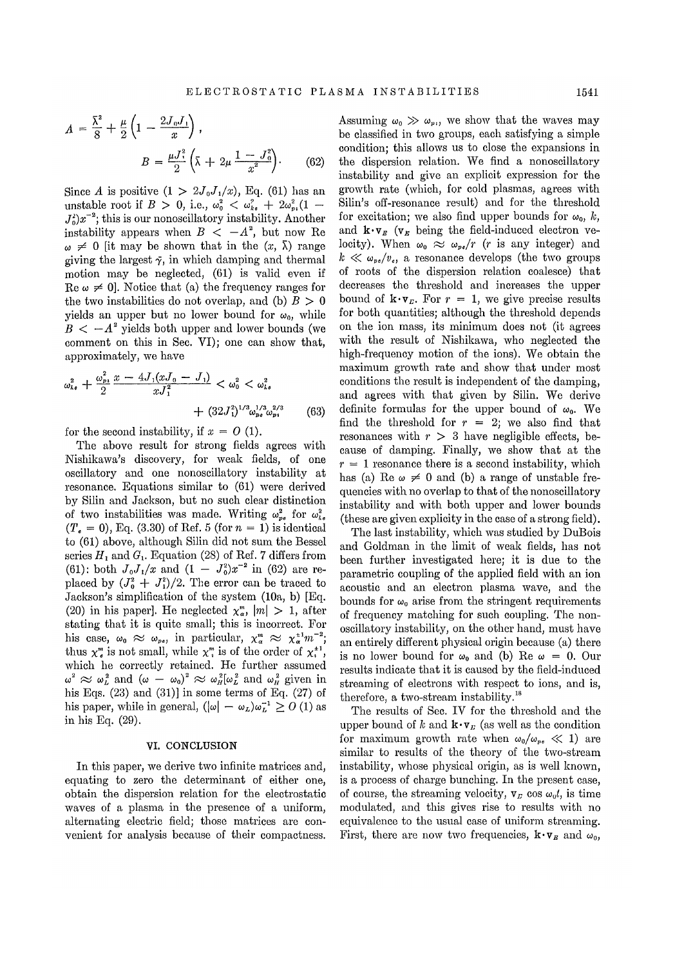$$
A = \frac{\bar{\lambda}^2}{8} + \frac{\mu}{2} \left( 1 - \frac{2J_0 J_1}{x} \right),
$$
  

$$
B = \frac{\mu J_1^2}{2} \left( \bar{\lambda} + 2\mu \frac{1 - J_0^2}{x^2} \right).
$$
 (62)

Since *A* is positive  $(1 > 2J_0J_1/x)$ , Eq. (61) has an unstable root if  $B > 0$ , i.e.,  $\omega_0^2 < \omega_{k_0}^2 + 2\omega_{m_0}^2(1 J_0^2$  $(x^{-2})$ ; this is our nonoscillatory instability. Another instability appears when  $B < -A^2$ , but now Re  $\omega \neq 0$  [it may be shown that in the  $(x, \bar{\lambda})$  range giving the largest  $\gamma$ , in which damping and thermal motion may be neglected, (61) is valid even if Re  $\omega \neq 0$ . Notice that (a) the frequency ranges for the two instabilities do not overlap, and (b)  $B > 0$ yields an upper but no lower bound for  $\omega_0$ , while  $B < -A^2$  yields both upper and lower bounds (we comment on this in Sec. VI); one can show that, approximately, we have

$$
\omega_{\iota}^{2} + \frac{\omega_{p_{1}}^{2}}{2} \frac{x - 4J_{1}(xJ_{0} - J_{1})}{xJ_{1}^{2}} < \omega_{0}^{2} < \omega_{\iota}^{2} + (32J_{1}^{2})^{1/3} \omega_{p_{2}}^{1/3} \omega_{p_{1}}^{2/3}
$$
(63)

for the second instability, if  $x = 0$  (1).

The above result for strong fields agrees with Nishikawa's discovery, for weak fields, of one oscillatory and one nonoscillatory instability at resonance. Equations similar to (61) were derived by Silin and Jackson, but no such clear distinction of two instabilities was made. Writing  $\omega_{ns}^2$  for  $\omega_{ks}^2$  $(T_e = 0)$ , Eq. (3.30) of Ref. 5 (for  $n = 1$ ) is identical to (61) above, although Silin did not sum the Bessel series  $H_1$  and  $G_1$ . Equation (28) of Ref. 7 differs from (61): both  $J_0 J_1/x$  and  $(1 - J_0^2)x^{-2}$  in (62) are replaced by  $(J_0^2 + J_1^2)/2$ . The error can be traced to Jackson's simplification of the system (10a, b) [Eq. (20) in his paper]. He neglected  $\chi_{\alpha}^m$ ,  $|m| > 1$ , after stating that it is quite small; this is incorrect. For his case,  $\omega_0 \approx \omega_{n+1}$  in particular,  $x^n \approx x^{\pm 1} m^{-2}$ ; thus  $x^m$  is not small, while  $x^m$  is of the order of  $x^{+1}$ . which he correctly retained. He further assumed where the correctly retained the ration assumed<br> $\omega^2 \approx \omega^2$  and  $(\omega - \omega_0)^2 \approx \omega^2/\omega^2$  and  $\omega^2$  given in his Eqs.  $(23)$  and  $(31)$ ] in some terms of Eq.  $(27)$  of his paper, while in general,  $(|\omega| - \omega_t)\omega_t^{-1} \geq 0$  (1) as in his Eq. (29).

## VI. CONCLUSION

In this paper, we derive two infinite matrices and, equating to zero the determinant of either one, obtain the dispersion relation for the electrostatic waves of a plasma in the presence of a uniform, alternating electric field; those matrices are convenient for analysis because of their compactness. Assuming  $\omega_0 \gg \omega_{\nu}$ , we show that the waves may be classified in two groups, each satisfying a simple condition; this allows us to close the expansions in the dispersion relation. We find a nonoscillatory instability and give an explicit expression for the growth rate (which, for cold plasmas, agrees with Silin's off-resonance result) and for the threshold for excitation; we also find upper bounds for  $\omega_0$ , k, and  $\mathbf{k} \cdot \mathbf{v}_B$  ( $\mathbf{v}_B$  being the field-induced electron velocity). When  $\omega_0 \approx \omega_{ne}/r$  (*r* is any integer) and  $k \ll \omega_{pe}/v_e$ , a resonance develops (the two groups of roots of the dispersion relation coalesce) that decreases the threshold and increases the upper bound of  $\mathbf{k} \cdot \mathbf{v}_r$ . For  $r = 1$ , we give precise results for both quantities; although the threshold depends on the ion mass, its minimum does not (it agrees with the result of Nishikawa, who neglected the high-frequency motion of the ions). We obtain the maximum growth rate and show that under most conditions the result is independent of the damping, and agrees with that given by Silin. We derive definite formulas for the upper bound of  $\omega_0$ . We find the threshold for  $r = 2$ ; we also find that resonances with  $r > 3$  have negligible effects, because of damping. Finally, we show that at the  $r = 1$  resonance there is a second instability, which has (a) Re  $\omega \neq 0$  and (b) a range of unstable frequencies with no overlap to that of the nonoscillatory instability and with both upper and lower bounds (these are given explicity in the case of a strong field).

The last instability, which was studied by DuBois and Goldman in the limit of weak fields, has not been further investigated here; it is due to the parametric coupling of the applied field with an ion acoustic and an electron plasma wave, and the bounds for  $\omega_0$  arise from the stringent requirements of frequency matching for such coupling. The nonoscillatory instability, on the other hand, must have an entirely different physical origin because (a) there is no lower bound for  $\omega_0$  and (b) Re  $\omega = 0$ . Our results indicate that it is caused by the field-induced streaming of electrons with respect to ions, and is, therefore, a two-stream instability.<sup>18</sup>

The results of Sec. IV for the threshold and the upper bound of  $k$  and  $\mathbf{k} \cdot \mathbf{v}_k$  (as well as the condition for maximum growth rate when  $\omega_0/\omega_{pe} \ll 1$ ) are similar to results of the theory of the two-stream instability, whose physical origin, as is well known, is a process of charge bunching. In the present case, of course, the streaming velocity,  $v_F$  cos  $\omega_0 t$ , is time modulated, and this gives rise to results with no equivalence to the usual case of uniform streaming. First, there are now two frequencies,  $\mathbf{k} \cdot \mathbf{v}_F$  and  $\omega_0$ ,